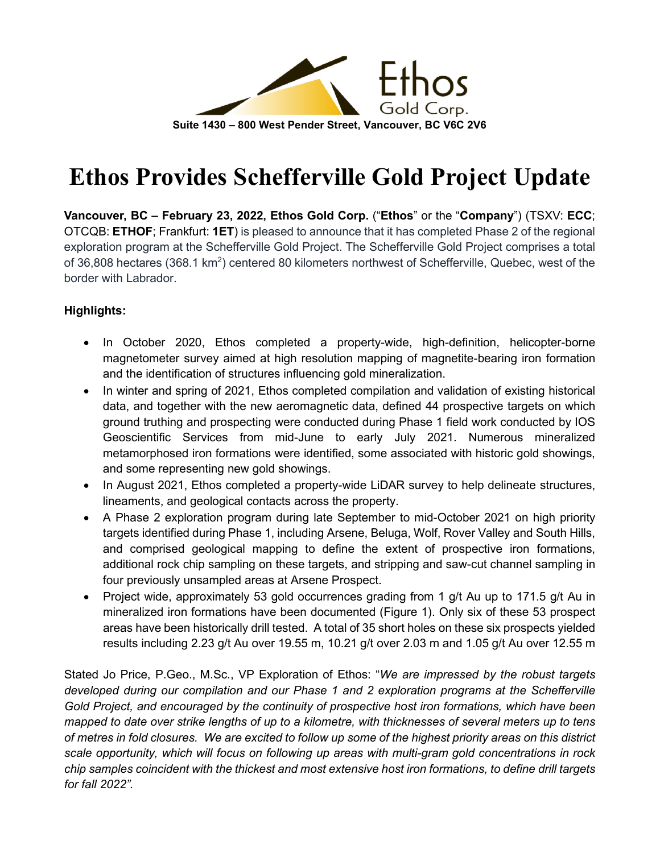

# **Ethos Provides Schefferville Gold Project Update**

**Vancouver, BC – February 23, 2022, Ethos Gold Corp.** ("**Ethos**" or the "**Company**") (TSXV: **ECC**; OTCQB: **ETHOF**; Frankfurt: **1ET**) is pleased to announce that it has completed Phase 2 of the regional exploration program at the Schefferville Gold Project. The Schefferville Gold Project comprises a total of 36,808 hectares (368.1 km<sup>2</sup>) centered 80 kilometers northwest of Schefferville, Quebec, west of the border with Labrador.

## **Highlights:**

- In October 2020, Ethos completed a property-wide, high-definition, helicopter-borne magnetometer survey aimed at high resolution mapping of magnetite-bearing iron formation and the identification of structures influencing gold mineralization.
- In winter and spring of 2021, Ethos completed compilation and validation of existing historical data, and together with the new aeromagnetic data, defined 44 prospective targets on which ground truthing and prospecting were conducted during Phase 1 field work conducted by IOS Geoscientific Services from mid-June to early July 2021. Numerous mineralized metamorphosed iron formations were identified, some associated with historic gold showings, and some representing new gold showings.
- In August 2021, Ethos completed a property-wide LiDAR survey to help delineate structures, lineaments, and geological contacts across the property.
- A Phase 2 exploration program during late September to mid-October 2021 on high priority targets identified during Phase 1, including Arsene, Beluga, Wolf, Rover Valley and South Hills, and comprised geological mapping to define the extent of prospective iron formations, additional rock chip sampling on these targets, and stripping and saw-cut channel sampling in four previously unsampled areas at Arsene Prospect.
- Project wide, approximately 53 gold occurrences grading from 1 g/t Au up to 171.5 g/t Au in mineralized iron formations have been documented (Figure 1). Only six of these 53 prospect areas have been historically drill tested. A total of 35 short holes on these six prospects yielded results including 2.23 g/t Au over 19.55 m, 10.21 g/t over 2.03 m and 1.05 g/t Au over 12.55 m

Stated Jo Price, P.Geo., M.Sc., VP Exploration of Ethos: "*We are impressed by the robust targets developed during our compilation and our Phase 1 and 2 exploration programs at the Schefferville Gold Project, and encouraged by the continuity of prospective host iron formations, which have been mapped to date over strike lengths of up to a kilometre, with thicknesses of several meters up to tens of metres in fold closures. We are excited to follow up some of the highest priority areas on this district scale opportunity, which will focus on following up areas with multi-gram gold concentrations in rock chip samples coincident with the thickest and most extensive host iron formations, to define drill targets for fall 2022".*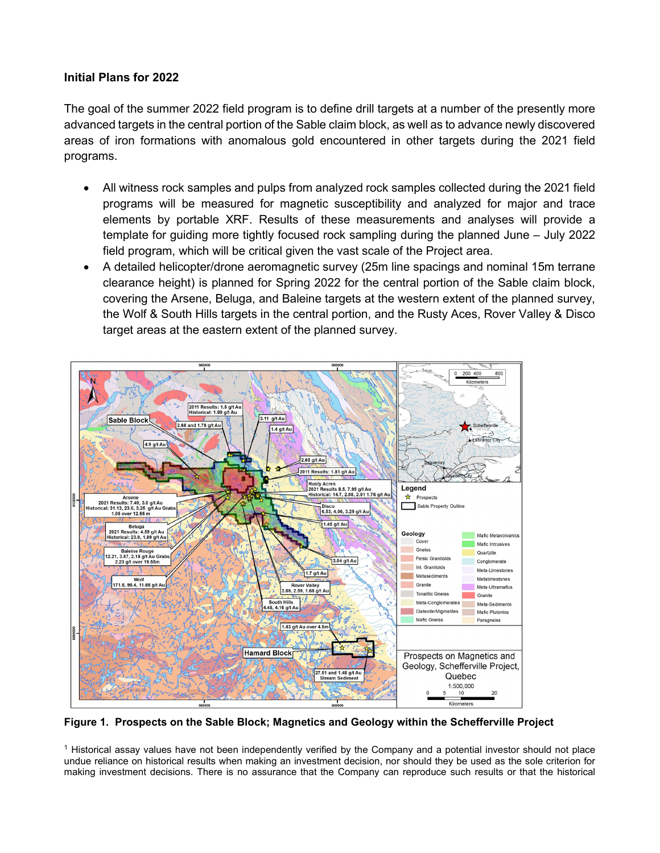### **Initial Plans for 2022**

The goal of the summer 2022 field program is to define drill targets at a number of the presently more advanced targets in the central portion of the Sable claim block, as well as to advance newly discovered areas of iron formations with anomalous gold encountered in other targets during the 2021 field programs.

- All witness rock samples and pulps from analyzed rock samples collected during the 2021 field programs will be measured for magnetic susceptibility and analyzed for major and trace elements by portable XRF. Results of these measurements and analyses will provide a template for guiding more tightly focused rock sampling during the planned June – July 2022 field program, which will be critical given the vast scale of the Project area.
- A detailed helicopter/drone aeromagnetic survey (25m line spacings and nominal 15m terrane clearance height) is planned for Spring 2022 for the central portion of the Sable claim block, covering the Arsene, Beluga, and Baleine targets at the western extent of the planned survey, the Wolf & South Hills targets in the central portion, and the Rusty Aces, Rover Valley & Disco target areas at the eastern extent of the planned survey.



**Figure 1. Prospects on the Sable Block; Magnetics and Geology within the Schefferville Project**

<sup>1</sup> Historical assay values have not been independently verified by the Company and a potential investor should not place undue reliance on historical results when making an investment decision, nor should they be used as the sole criterion for making investment decisions. There is no assurance that the Company can reproduce such results or that the historical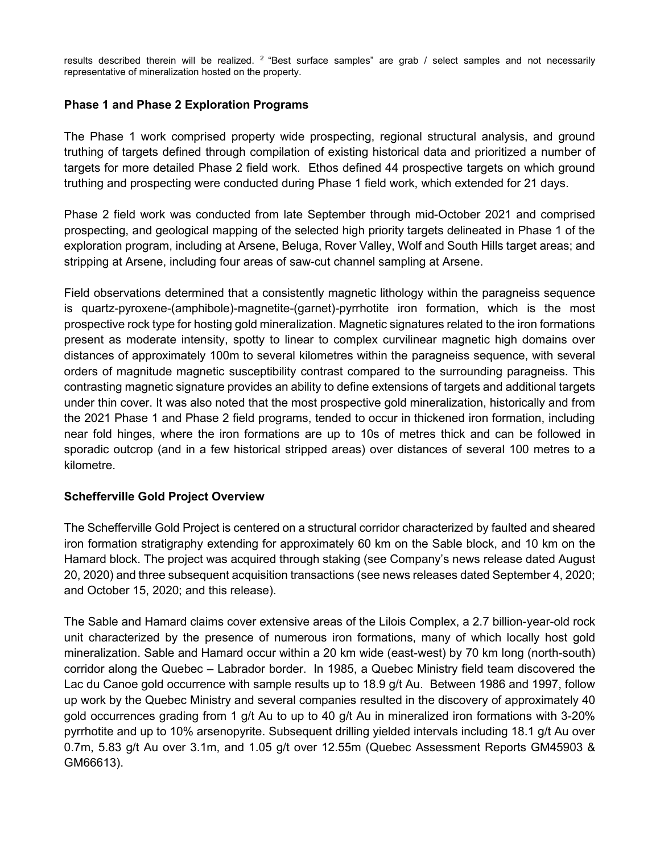results described therein will be realized.  $2$  "Best surface samples" are grab / select samples and not necessarily representative of mineralization hosted on the property.

#### **Phase 1 and Phase 2 Exploration Programs**

The Phase 1 work comprised property wide prospecting, regional structural analysis, and ground truthing of targets defined through compilation of existing historical data and prioritized a number of targets for more detailed Phase 2 field work. Ethos defined 44 prospective targets on which ground truthing and prospecting were conducted during Phase 1 field work, which extended for 21 days.

Phase 2 field work was conducted from late September through mid-October 2021 and comprised prospecting, and geological mapping of the selected high priority targets delineated in Phase 1 of the exploration program, including at Arsene, Beluga, Rover Valley, Wolf and South Hills target areas; and stripping at Arsene, including four areas of saw-cut channel sampling at Arsene.

Field observations determined that a consistently magnetic lithology within the paragneiss sequence is quartz-pyroxene-(amphibole)-magnetite-(garnet)-pyrrhotite iron formation, which is the most prospective rock type for hosting gold mineralization. Magnetic signatures related to the iron formations present as moderate intensity, spotty to linear to complex curvilinear magnetic high domains over distances of approximately 100m to several kilometres within the paragneiss sequence, with several orders of magnitude magnetic susceptibility contrast compared to the surrounding paragneiss. This contrasting magnetic signature provides an ability to define extensions of targets and additional targets under thin cover. It was also noted that the most prospective gold mineralization, historically and from the 2021 Phase 1 and Phase 2 field programs, tended to occur in thickened iron formation, including near fold hinges, where the iron formations are up to 10s of metres thick and can be followed in sporadic outcrop (and in a few historical stripped areas) over distances of several 100 metres to a kilometre.

#### **Schefferville Gold Project Overview**

The Schefferville Gold Project is centered on a structural corridor characterized by faulted and sheared iron formation stratigraphy extending for approximately 60 km on the Sable block, and 10 km on the Hamard block. The project was acquired through staking (see Company's news release dated August 20, 2020) and three subsequent acquisition transactions (see news releases dated September 4, 2020; and October 15, 2020; and this release).

The Sable and Hamard claims cover extensive areas of the Lilois Complex, a 2.7 billion-year-old rock unit characterized by the presence of numerous iron formations, many of which locally host gold mineralization. Sable and Hamard occur within a 20 km wide (east-west) by 70 km long (north-south) corridor along the Quebec – Labrador border. In 1985, a Quebec Ministry field team discovered the Lac du Canoe gold occurrence with sample results up to 18.9 g/t Au. Between 1986 and 1997, follow up work by the Quebec Ministry and several companies resulted in the discovery of approximately 40 gold occurrences grading from 1 g/t Au to up to 40 g/t Au in mineralized iron formations with 3-20% pyrrhotite and up to 10% arsenopyrite. Subsequent drilling yielded intervals including 18.1 g/t Au over 0.7m, 5.83 g/t Au over 3.1m, and 1.05 g/t over 12.55m (Quebec Assessment Reports GM45903 & GM66613).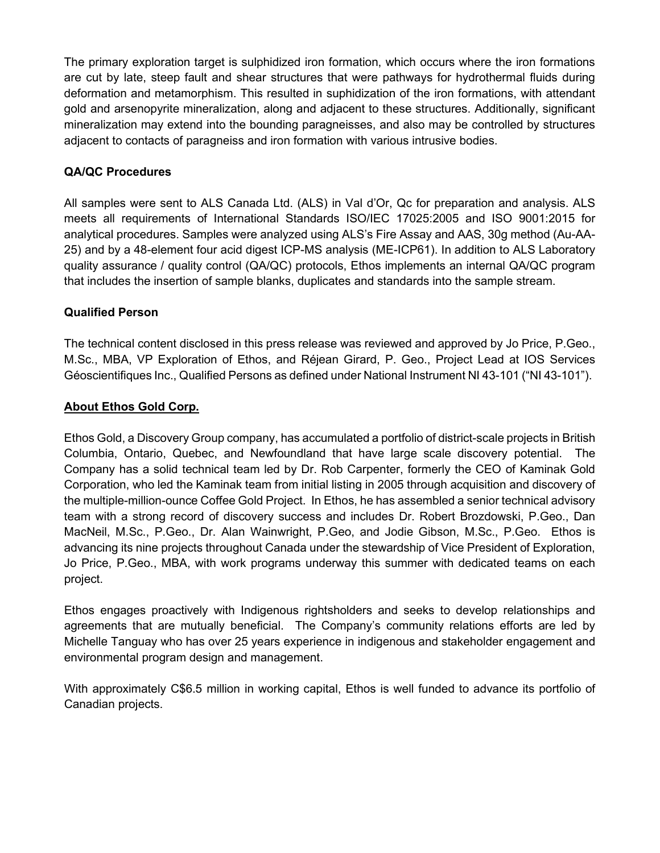The primary exploration target is sulphidized iron formation, which occurs where the iron formations are cut by late, steep fault and shear structures that were pathways for hydrothermal fluids during deformation and metamorphism. This resulted in suphidization of the iron formations, with attendant gold and arsenopyrite mineralization, along and adjacent to these structures. Additionally, significant mineralization may extend into the bounding paragneisses, and also may be controlled by structures adjacent to contacts of paragneiss and iron formation with various intrusive bodies.

## **QA/QC Procedures**

All samples were sent to ALS Canada Ltd. (ALS) in Val d'Or, Qc for preparation and analysis. ALS meets all requirements of International Standards ISO/IEC 17025:2005 and ISO 9001:2015 for analytical procedures. Samples were analyzed using ALS's Fire Assay and AAS, 30g method (Au-AA-25) and by a 48-element four acid digest ICP-MS analysis (ME-ICP61). In addition to ALS Laboratory quality assurance / quality control (QA/QC) protocols, Ethos implements an internal QA/QC program that includes the insertion of sample blanks, duplicates and standards into the sample stream.

## **Qualified Person**

The technical content disclosed in this press release was reviewed and approved by Jo Price, P.Geo., M.Sc., MBA, VP Exploration of Ethos, and Réjean Girard, P. Geo., Project Lead at IOS Services Géoscientifiques Inc., Qualified Persons as defined under National Instrument NI 43-101 ("NI 43-101").

## **About Ethos Gold Corp.**

Ethos Gold, a Discovery Group company, has accumulated a portfolio of district-scale projects in British Columbia, Ontario, Quebec, and Newfoundland that have large scale discovery potential. The Company has a solid technical team led by Dr. Rob Carpenter, formerly the CEO of Kaminak Gold Corporation, who led the Kaminak team from initial listing in 2005 through acquisition and discovery of the multiple-million-ounce Coffee Gold Project. In Ethos, he has assembled a senior technical advisory team with a strong record of discovery success and includes Dr. Robert Brozdowski, P.Geo., Dan MacNeil, M.Sc., P.Geo., Dr. Alan Wainwright, P.Geo, and Jodie Gibson, M.Sc., P.Geo. Ethos is advancing its nine projects throughout Canada under the stewardship of Vice President of Exploration, Jo Price, P.Geo., MBA, with work programs underway this summer with dedicated teams on each project.

Ethos engages proactively with Indigenous rightsholders and seeks to develop relationships and agreements that are mutually beneficial. The Company's community relations efforts are led by Michelle Tanguay who has over 25 years experience in indigenous and stakeholder engagement and environmental program design and management.

With approximately C\$6.5 million in working capital, Ethos is well funded to advance its portfolio of Canadian projects.